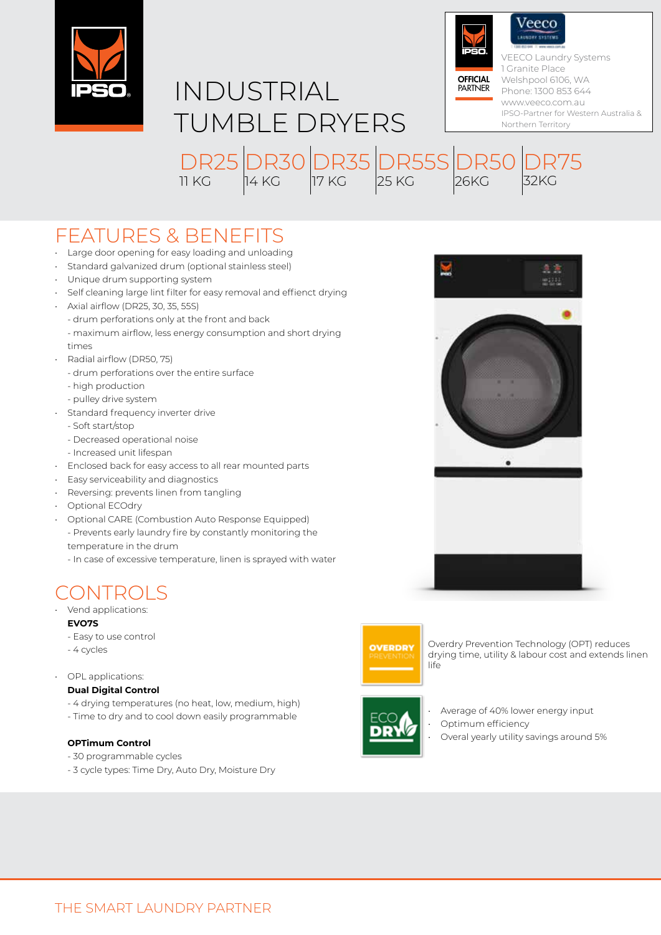



DR35 17 KG

DR55S

25 KG

DR30

14 KG



IPSO-Partner for Western Australia & Northern Territory

DR75

32KG

FEATURES & BENEFITS

- Large door opening for easy loading and unloading
- Standard galvanized drum (optional stainless steel)
- Unique drum supporting system
- Self cleaning large lint filter for easy removal and effienct drying

DR25

11 KG

- • Axial airflow (DR25, 30, 35, 55S)
	- drum perforations only at the front and back
	- maximum airflow, less energy consumption and short drying times
- • Radial airflow (DR50, 75)
	- drum perforations over the entire surface
	- high production
	- pulley drive system
- Standard frequency inverter drive
	- Soft start/stop
	- Decreased operational noise
	- Increased unit lifespan
- Enclosed back for easy access to all rear mounted parts
- Easy serviceability and diagnostics
- Reversing: prevents linen from tangling
- Optional ECOdry
- Optional CARE (Combustion Auto Response Equipped) - Prevents early laundry fire by constantly monitoring the temperature in the drum
	- In case of excessive temperature, linen is sprayed with water

## CONTROLS

- Vend applications: **EVO7S**
	- Easy to use control
	- 4 cycles
- OPL applications:

## **Dual Digital Control**

- 4 drying temperatures (no heat, low, medium, high)
- Time to dry and to cool down easily programmable

## **OPTimum Control**

- 30 programmable cycles
- 3 cycle types: Time Dry, Auto Dry, Moisture Dry



Overdry Prevention Technology (OPT) reduces drying time, utility & labour cost and extends linen life



Average of 40% lower energy input

- Optimum efficiency
	- Overal yearly utility savings around 5%



**DR50** 

26KG

- 
-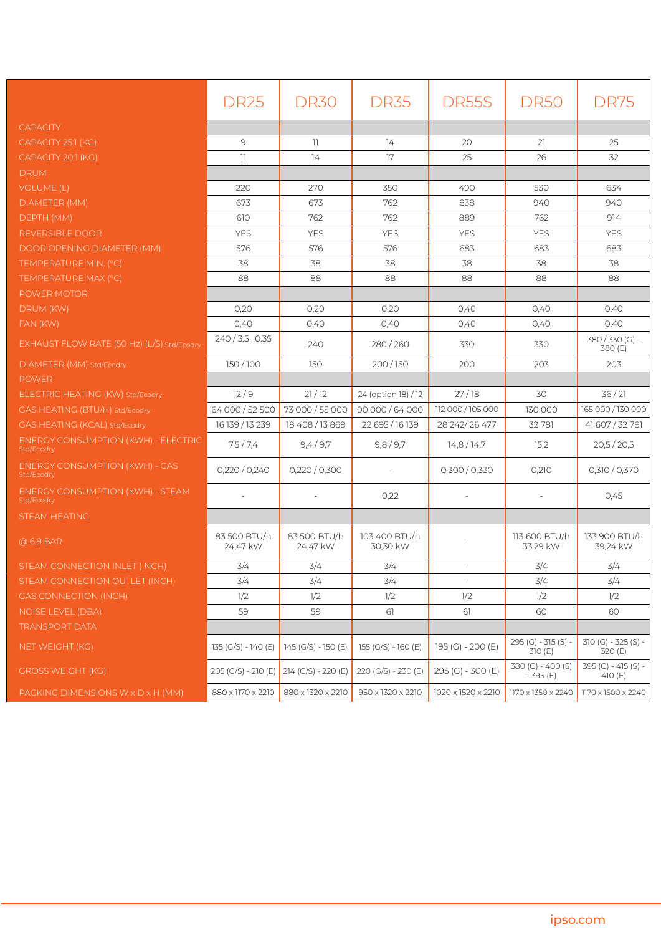|                                                          | <b>DR25</b>                             | <b>DR30</b>              | <b>DR35</b>               | DR55S              | <b>DR50</b>                    | <b>DR75</b>                      |
|----------------------------------------------------------|-----------------------------------------|--------------------------|---------------------------|--------------------|--------------------------------|----------------------------------|
| <b>CAPACITY</b>                                          |                                         |                          |                           |                    |                                |                                  |
| CAPACITY 25:1 (KG)                                       | 9                                       | $\overline{11}$          | 14                        | 20                 | 21                             | 25                               |
| CAPACITY 20:1 (KG)                                       | $\mathbb{I}$                            | 14                       | 17                        | 25                 | 26                             | 32                               |
| <b>DRUM</b>                                              |                                         |                          |                           |                    |                                |                                  |
| <b>VOLUME (L)</b>                                        | 220                                     | 270                      | 350                       | 490                | 530                            | 634                              |
| DIAMETER (MM)                                            | 673                                     | 673                      | 762                       | 838                | 940                            | 940                              |
| DEPTH (MM)                                               | 610                                     | 762                      | 762                       | 889                | 762                            | 914                              |
| REVERSIBLE DOOR                                          | <b>YES</b>                              | <b>YES</b>               | <b>YES</b>                | <b>YES</b>         | <b>YES</b>                     | <b>YES</b>                       |
| DOOR OPENING DIAMETER (MM)                               | 576                                     | 576                      | 576                       | 683                | 683                            | 683                              |
| TEMPERATURE MIN. (°C)                                    | 38                                      | 38                       | 38                        | 38                 | 38                             | 38                               |
| TEMPERATURE MAX (°C)                                     | 88                                      | 88                       | 88                        | 88                 | 88                             | 88                               |
| POWER MOTOR                                              |                                         |                          |                           |                    |                                |                                  |
| DRUM (KW)                                                | 0,20                                    | 0,20                     | 0,20                      | 0,40               | 0,40                           | 0,40                             |
| FAN (KW)                                                 | 0,40                                    | 0,40                     | 0,40                      | 0,40               | 0,40                           | 0,40                             |
| EXHAUST FLOW RATE (50 Hz) (L/S) std/Ecodry               | $240/3.5$ , 0.35                        | 240                      | 280/260                   | 330                | 330                            | 380/330(G)-<br>380 (E)           |
| DIAMETER (MM) Std/Ecodry                                 | 150/100                                 | 150                      | 200/150                   | 200                | 203                            | 203                              |
| <b>POWER</b>                                             |                                         |                          |                           |                    |                                |                                  |
| ELECTRIC HEATING (KW) Std/Ecodry                         | 12/9                                    | 21/12                    | 24 (option 18) / 12       | 27/18              | 30                             | 36/21                            |
| GAS HEATING (BTU/H) Std/Ecodry                           | 64 000 / 52 500                         | 73 000 / 55 000          | 90 000 / 64 000           | 112 000 / 105 000  | 130 000                        | 165 000 / 130 000                |
| GAS HEATING (KCAL) Std/Ecodry                            | 16 139 / 13 239                         | 18 408 / 13 869          | 22 695 / 16 139           | 28 242/26 477      | 32 781                         | 41 607 / 32 781                  |
| <b>ENERGY CONSUMPTION (KWH) - ELECTRIC</b><br>Std/Ecodry | 7,5/7,4                                 | 9,4/9.7                  | 9,8/9,7                   | 14,8/14,7          | 15,2                           | 20,5/20,5                        |
| <b>ENERGY CONSUMPTION (KWH) - GAS</b><br>Std/Ecodry      | 0,220/0,240                             | 0,220/0,300              |                           | 0,300/0,330        | 0,210                          | 0,310/0,370                      |
| <b>ENERGY CONSUMPTION (KWH) - STEAM</b><br>Std/Ecodry    | $\sim$                                  | $\sim$                   | 0,22                      | $\sim$             |                                | 0.45                             |
| <b>STEAM HEATING</b>                                     |                                         |                          |                           |                    |                                |                                  |
| @ 6,9 BAR                                                | 83 500 BTU/h<br>24,47 kW                | 83 500 BTU/h<br>24,47 kW | 103 400 BTU/h<br>30,30 kW |                    | 113 600 BTU/h<br>33,29 kW      | 133 900 BTU/h<br>39,24 kW        |
| STEAM CONNECTION INLET (INCH)                            | 3/4                                     | 3/4                      | 3/4                       |                    | 3/4                            | 3/4                              |
| STEAM CONNECTION OUTLET (INCH)                           | 3/4                                     | 3/4                      | 3/4                       | $\equiv$           | 3/4                            | 3/4                              |
| <b>GAS CONNECTION (INCH)</b>                             | 1/2                                     | 1/2                      | 1/2                       | 1/2                | 1/2                            | 1/2                              |
| <b>NOISE LEVEL (DBA)</b>                                 | 59                                      | 59                       | 61                        | 61                 | 60                             | 60                               |
| <b>TRANSPORT DATA</b>                                    |                                         |                          |                           |                    |                                |                                  |
| NET WEIGHT (KG)                                          | 135 (G/S) - 140 (E)                     | 145 (G/S) - 150 (E)      | 155 (G/S) - 160 (E)       | 195 (G) - 200 (E)  | 295 (G) - 315 (S) -<br>310 (E) | $310 (G) - 325 (S) -$<br>320 (E) |
| <b>GROSS WEIGHT (KG)</b>                                 | 205 (G/S) - 210 (E) 214 (G/S) - 220 (E) |                          | 220 (G/S) - 230 (E)       | 295 (G) - 300 (E)  | 380 (G) - 400 (S)<br>- 395 (E) | 395 (G) - 415 (S) -<br>410 $(E)$ |
| PACKING DIMENSIONS W x D x H (MM)                        | 880 x 1170 x 2210                       | 880 x 1320 x 2210        | 950 x 1320 x 2210         | 1020 x 1520 x 2210 | 1170 x 1350 x 2240             | 1170 x 1500 x 2240               |